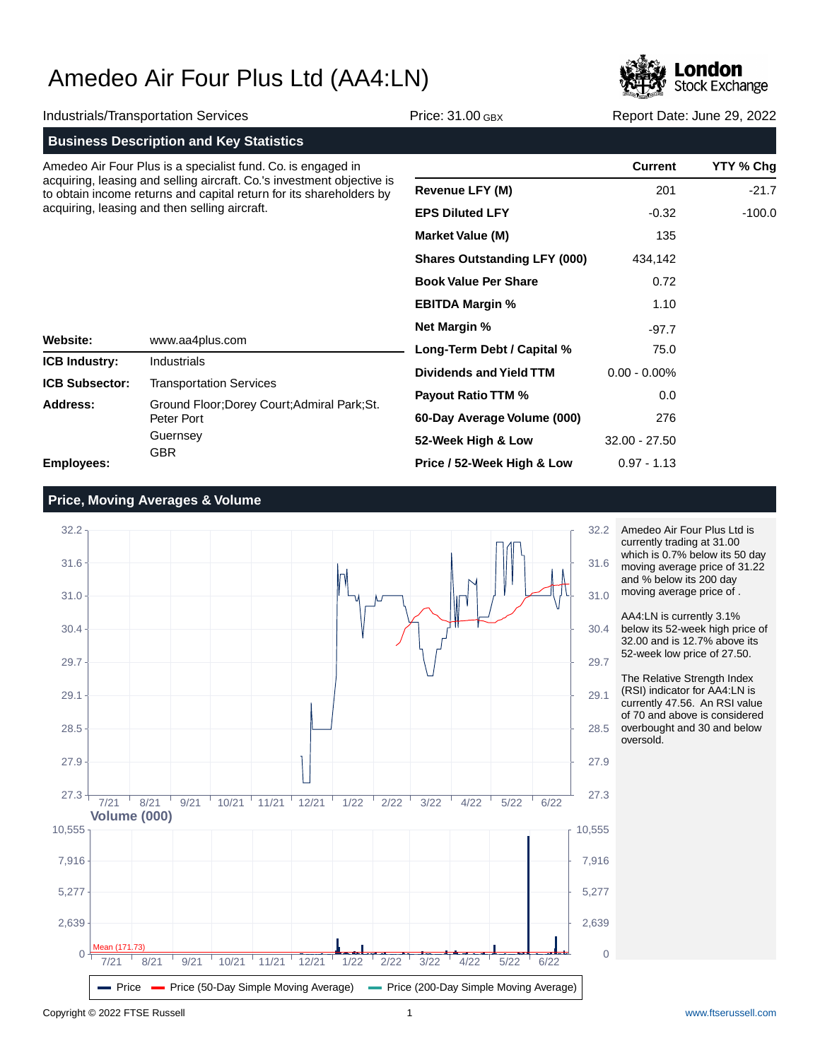

|                                                                                                                                                                                                | Industrials/Transportation Services                                                                      | Price: 31.00 GBX                    | Report Date: June 29, 2022 |           |
|------------------------------------------------------------------------------------------------------------------------------------------------------------------------------------------------|----------------------------------------------------------------------------------------------------------|-------------------------------------|----------------------------|-----------|
|                                                                                                                                                                                                | <b>Business Description and Key Statistics</b>                                                           |                                     |                            |           |
|                                                                                                                                                                                                | Amedeo Air Four Plus is a specialist fund. Co. is engaged in                                             |                                     | <b>Current</b>             | YTY % Chg |
| acquiring, leasing and selling aircraft. Co.'s investment objective is<br>to obtain income returns and capital return for its shareholders by<br>acquiring, leasing and then selling aircraft. |                                                                                                          | <b>Revenue LFY (M)</b>              | 201                        | $-21.7$   |
|                                                                                                                                                                                                |                                                                                                          | <b>EPS Diluted LFY</b>              | $-0.32$                    | $-100.0$  |
|                                                                                                                                                                                                |                                                                                                          | <b>Market Value (M)</b>             | 135                        |           |
|                                                                                                                                                                                                |                                                                                                          | <b>Shares Outstanding LFY (000)</b> | 434,142                    |           |
|                                                                                                                                                                                                |                                                                                                          | <b>Book Value Per Share</b>         | 0.72<br>1.10               |           |
|                                                                                                                                                                                                |                                                                                                          | <b>EBITDA Margin %</b>              |                            |           |
|                                                                                                                                                                                                |                                                                                                          | <b>Net Margin %</b>                 | $-97.7$                    |           |
| Website:                                                                                                                                                                                       | www.aa4plus.com                                                                                          | Long-Term Debt / Capital %          | 75.0                       |           |
| <b>ICB Industry:</b>                                                                                                                                                                           | Industrials                                                                                              | <b>Dividends and Yield TTM</b>      | $0.00 - 0.00\%$            |           |
| <b>ICB Subsector:</b>                                                                                                                                                                          | <b>Transportation Services</b><br>Ground Floor; Dorey Court; Admiral Park; St.<br>Peter Port<br>Guernsey | <b>Payout Ratio TTM %</b>           | 0.0                        |           |
| Address:                                                                                                                                                                                       |                                                                                                          | 60-Day Average Volume (000)         | 276                        |           |
|                                                                                                                                                                                                |                                                                                                          | 52-Week High & Low                  | $32.00 - 27.50$            |           |
| <b>GBR</b><br>Emplovees:                                                                                                                                                                       |                                                                                                          | Price / 52-Week High & Low          | $0.97 - 1.13$              |           |



Amedeo Air Four Plus Ltd is currently trading at 31.00 which is 0.7% below its 50 day moving average price of 31.22 and % below its 200 day moving average price of .

AA4:LN is currently 3.1% below its 52-week high price of 32.00 and is 12.7% above its 52-week low price of 27.50.

The Relative Strength Index (RSI) indicator for AA4:LN is currently 47.56. An RSI value of 70 and above is considered overbought and 30 and below oversold.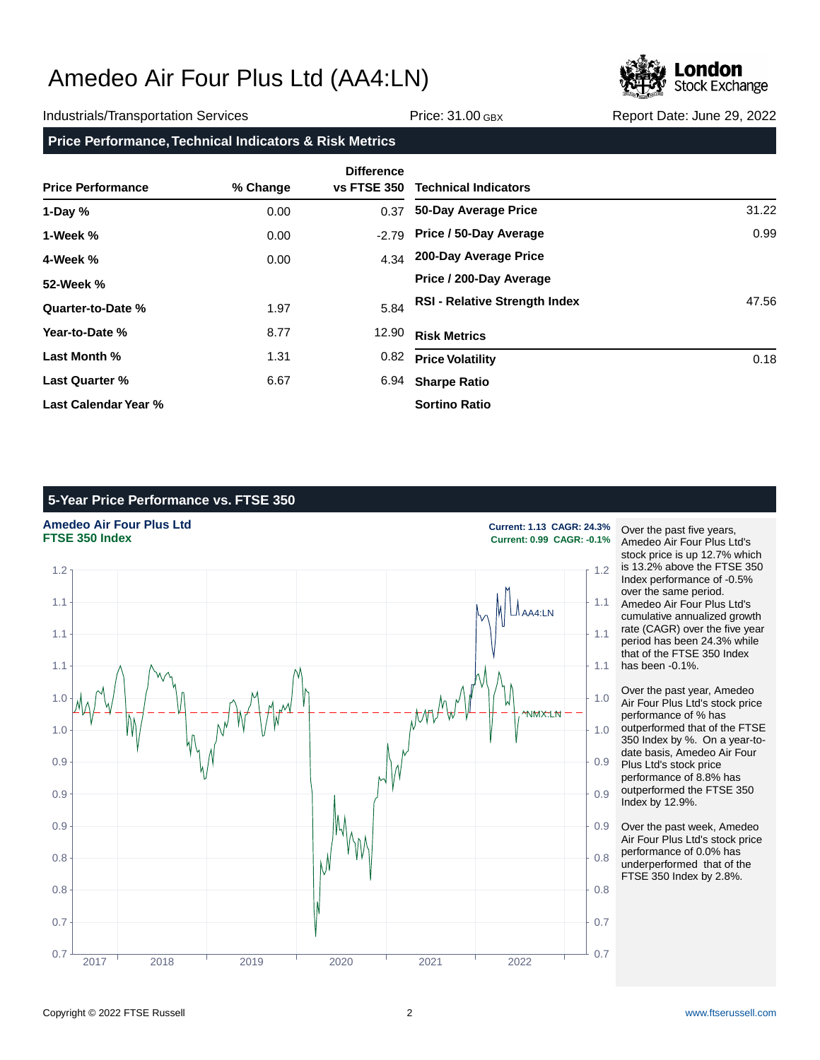

### Industrials/Transportation Services **Network: Service: 31.00 GBX** Report Date: June 29, 2022

**Price Performance, Technical Indicators & Risk Metrics**

| <b>Price Performance</b> | % Change | <b>Difference</b><br><b>vs FTSE 350</b> | <b>Technical Indicators</b>          |       |
|--------------------------|----------|-----------------------------------------|--------------------------------------|-------|
| 1-Day $%$                | 0.00     | 0.37                                    | 50-Day Average Price                 | 31.22 |
| 1-Week %                 | 0.00     | $-2.79$                                 | Price / 50-Day Average               | 0.99  |
| 4-Week %                 | 0.00     | 4.34                                    | 200-Day Average Price                |       |
| 52-Week %                |          |                                         | Price / 200-Day Average              |       |
| Quarter-to-Date %        | 1.97     | 5.84                                    | <b>RSI - Relative Strength Index</b> | 47.56 |
| Year-to-Date %           | 8.77     | 12.90                                   | <b>Risk Metrics</b>                  |       |
| Last Month %             | 1.31     | 0.82                                    | <b>Price Volatility</b>              | 0.18  |
| <b>Last Quarter %</b>    | 6.67     | 6.94                                    | <b>Sharpe Ratio</b>                  |       |
| Last Calendar Year %     |          |                                         | <b>Sortino Ratio</b>                 |       |

## **5-Year Price Performance vs. FTSE 350**



**FTSE 350 Index Current: 0.99 CAGR: -0.1%**

Over the past five years, Amedeo Air Four Plus Ltd's stock price is up 12.7% which is 13.2% above the FTSE 350 Index performance of -0.5% over the same period. Amedeo Air Four Plus Ltd's cumulative annualized growth rate (CAGR) over the five year period has been 24.3% while that of the FTSE 350 Index has been -0.1%.

Over the past year, Amedeo Air Four Plus Ltd's stock price performance of % has outperformed that of the FTSE 350 Index by %. On a year-todate basis, Amedeo Air Four Plus Ltd's stock price performance of 8.8% has outperformed the FTSE 350 Index by 12.9%.

Over the past week, Amedeo Air Four Plus Ltd's stock price performance of 0.0% has underperformed that of the FTSE 350 Index by 2.8%.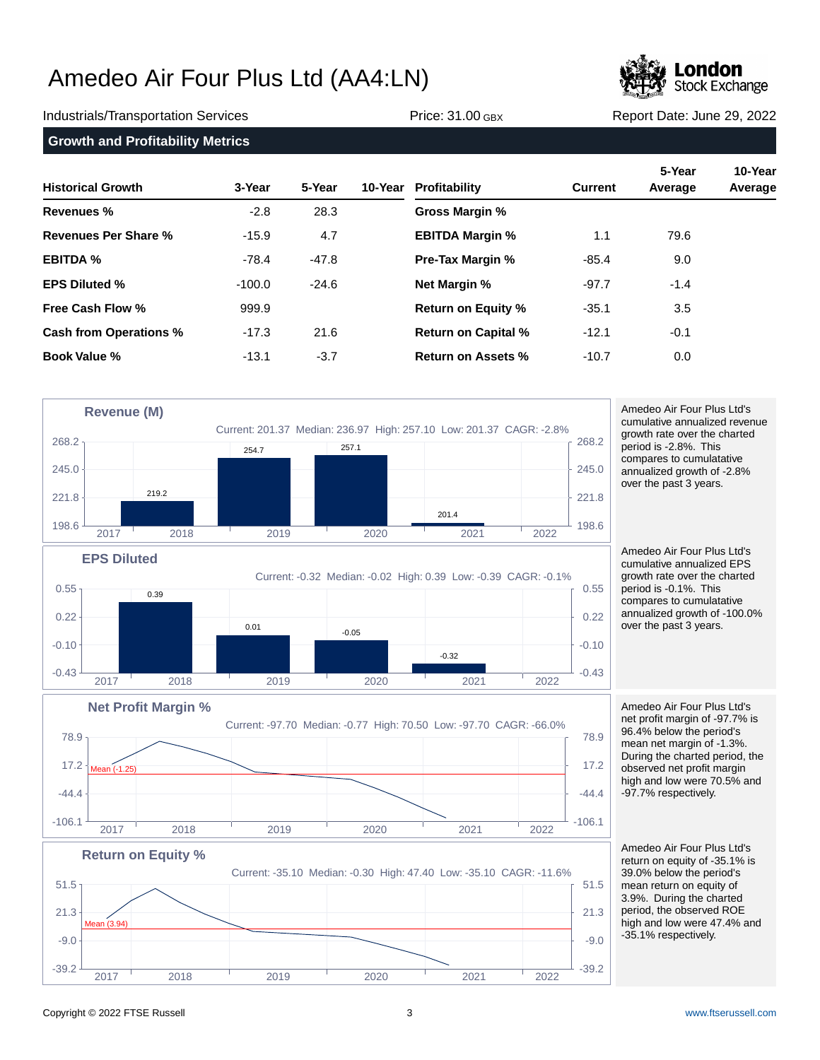

Industrials/Transportation Services **Network: Service: 31.00 GBX** Report Date: June 29, 2022

**Growth and Profitability Metrics**

| <b>Historical Growth</b> | 3-Year   | 5-Year  | 10-Year | Profitability              | <b>Current</b> | 5-Year<br>Average | 10-Year<br>Average |
|--------------------------|----------|---------|---------|----------------------------|----------------|-------------------|--------------------|
| <b>Revenues %</b>        | $-2.8$   | 28.3    |         | Gross Margin %             |                |                   |                    |
| Revenues Per Share %     | $-15.9$  | 4.7     |         | <b>EBITDA Margin %</b>     | 1.1            | 79.6              |                    |
| <b>EBITDA %</b>          | $-78.4$  | $-47.8$ |         | <b>Pre-Tax Margin %</b>    | $-85.4$        | 9.0               |                    |
| <b>EPS Diluted %</b>     | $-100.0$ | $-24.6$ |         | <b>Net Margin %</b>        | $-97.7$        | $-1.4$            |                    |
| Free Cash Flow %         | 999.9    |         |         | <b>Return on Equity %</b>  | $-35.1$        | 3.5               |                    |
| Cash from Operations %   | $-17.3$  | 21.6    |         | <b>Return on Capital %</b> | $-12.1$        | $-0.1$            |                    |
| Book Value %             | $-13.1$  | $-3.7$  |         | Return on Assets %         | $-10.7$        | 0.0               |                    |



 $-39.2$   $-39.2$   $-39.2$   $-39.2$   $-39.2$ 

2017 2018 2019 2020 2021 2022

 $-9.0$   $-9.0$ 

Amedeo Air Four Plus Ltd's cumulative annualized revenue growth rate over the charted period is -2.8%. This compares to cumulatative annualized growth of -2.8% over the past 3 years.

Amedeo Air Four Plus Ltd's cumulative annualized EPS growth rate over the charted period is -0.1%. This compares to cumulatative annualized growth of -100.0% over the past 3 years.

Amedeo Air Four Plus Ltd's net profit margin of -97.7% is 96.4% below the period's mean net margin of -1.3%. During the charted period, the observed net profit margin high and low were 70.5% and -97.7% respectively.

Amedeo Air Four Plus Ltd's return on equity of -35.1% is 39.0% below the period's mean return on equity of 3.9%. During the charted period, the observed ROE high and low were 47.4% and -35.1% respectively.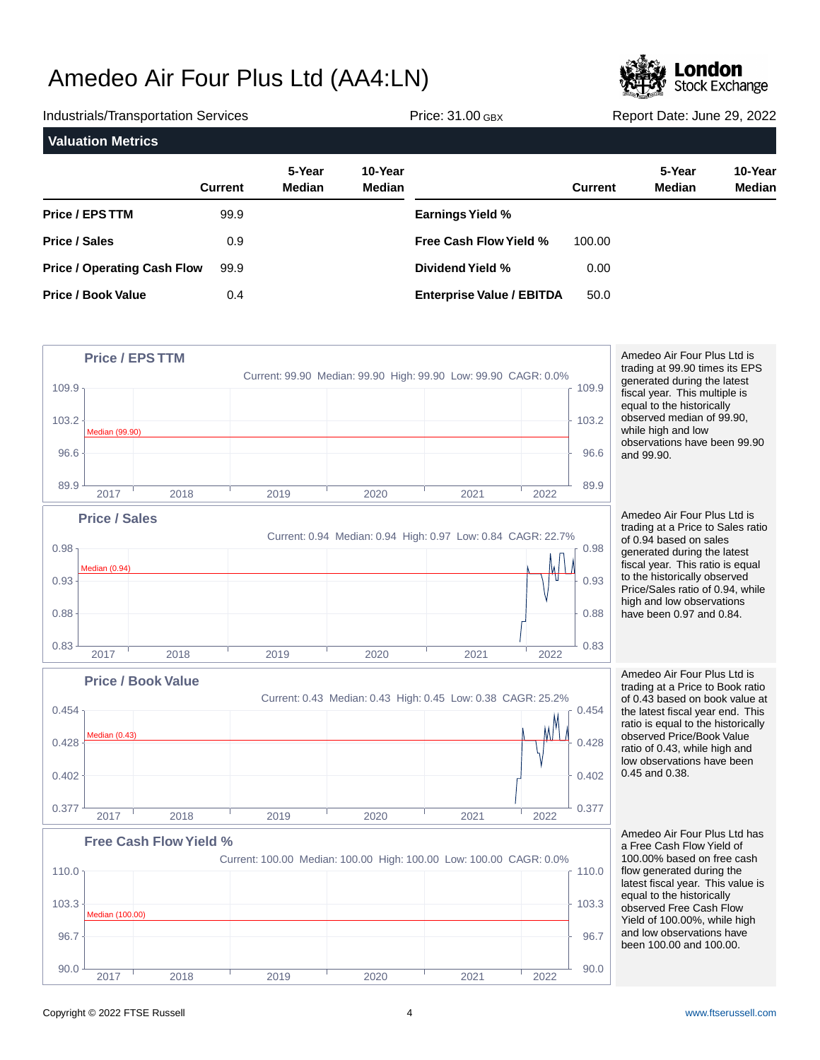

Industrials/Transportation Services Price: 31.00 GBX Report Date: June 29, 2022 **Valuation Metrics 5-Year 10-Year Current Median Median Price / EPS TTM Price / Sales Price / Operating Cash Flow Price / Book Value 5-Year 10-Year Current Median Median Earnings Yield % Free Cash Flow Yield % Dividend Yield % Enterprise Value / EBITDA** 99.9 0.9 99.9 0.4 100.00 0.00 50.0



Amedeo Air Four Plus Ltd is trading at 99.90 times its EPS generated during the latest fiscal year. This multiple is equal to the historically observed median of 99.90, while high and low observations have been 99.90 and 99.90.

Amedeo Air Four Plus Ltd is trading at a Price to Sales ratio of 0.94 based on sales generated during the latest fiscal year. This ratio is equal to the historically observed Price/Sales ratio of 0.94, while high and low observations have been 0.97 and 0.84.

Amedeo Air Four Plus Ltd is trading at a Price to Book ratio of 0.43 based on book value at the latest fiscal year end. This ratio is equal to the historically observed Price/Book Value ratio of 0.43, while high and low observations have been 0.45 and 0.38.

Amedeo Air Four Plus Ltd has a Free Cash Flow Yield of 100.00% based on free cash flow generated during the latest fiscal year. This value is equal to the historically observed Free Cash Flow Yield of 100.00%, while high and low observations have been 100.00 and 100.00.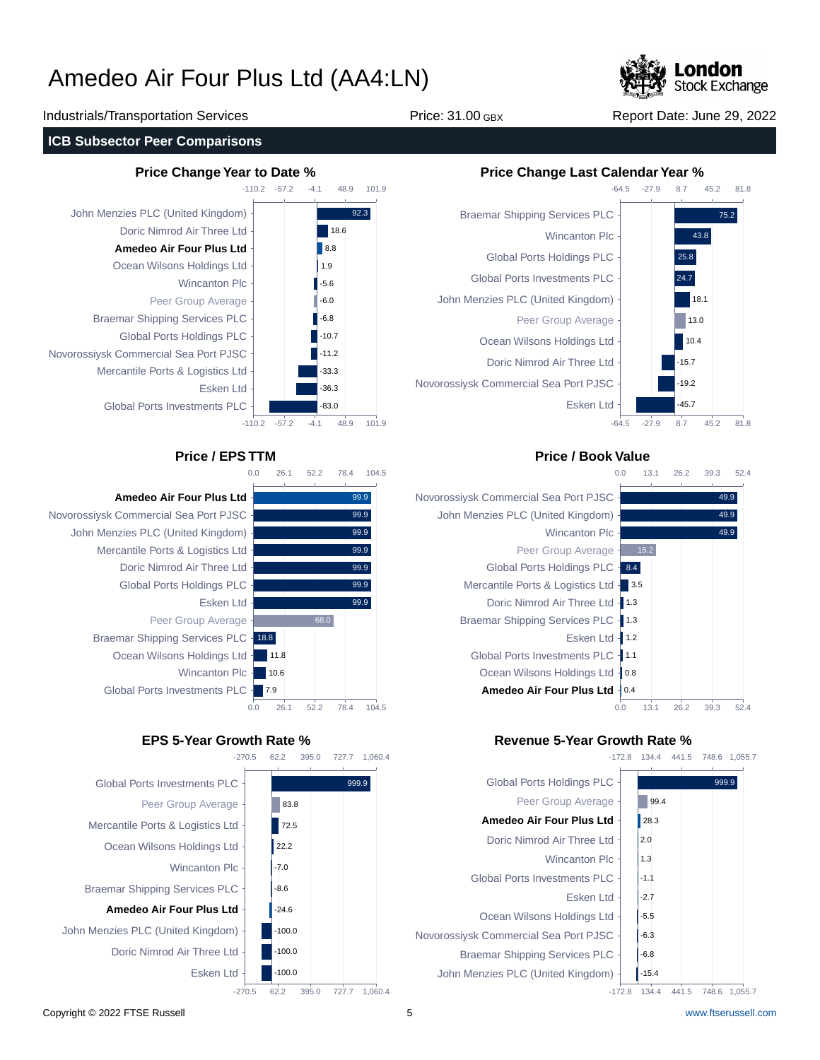

### Industrials/Transportation Services Price: 31.00 GBX Report Date: June 29, 2022

### **ICB Subsector Peer Comparisons**



-110.2 -57.2  $-110.2$ -57.2 John Menzies PLC (United Kingdom) Doric Nimrod Air Three Ltd **Amedeo Air Four Plus Ltd** Ocean Wilsons Holdings Ltd Wincanton Plc Peer Group Average Braemar Shipping Services PLC Global Ports Holdings PLC Novorossiysk Commercial Sea Port PJSC Mercantile Ports & Logistics Ltd Esken Ltd Global Ports Investments PLC



-4.1

48.9

101.9

 $-4.1$ 

48.9

18.6  $\overline{88}$ 1.9  $-5.6$ -6.0 -6.8 -10.7  $-11.2$ -33.3 -36.3 -83.0

101.9

92.3

**Amedeo Air Four Plus Ltd** Novorossiysk Commercial Sea Port PJSC John Menzies PLC (United Kingdom) Mercantile Ports & Logistics Ltd Doric Nimrod Air Three Ltd Global Ports Holdings PLC Esken Ltd Peer Group Average Braemar Shipping Services PLC - 18.8 Ocean Wilsons Holdings Ltd Wincanton Plc -

-270.5 62.2 395.0 727.7 1,060.4



## **Price Change Year to Date % Price Change Last Calendar Year %**



## **Price / EPS TTM Price / Book Value**



## **EPS 5-Year Growth Rate % Revenue 5-Year Growth Rate %**



134.4 441.5 748.6 1,055.7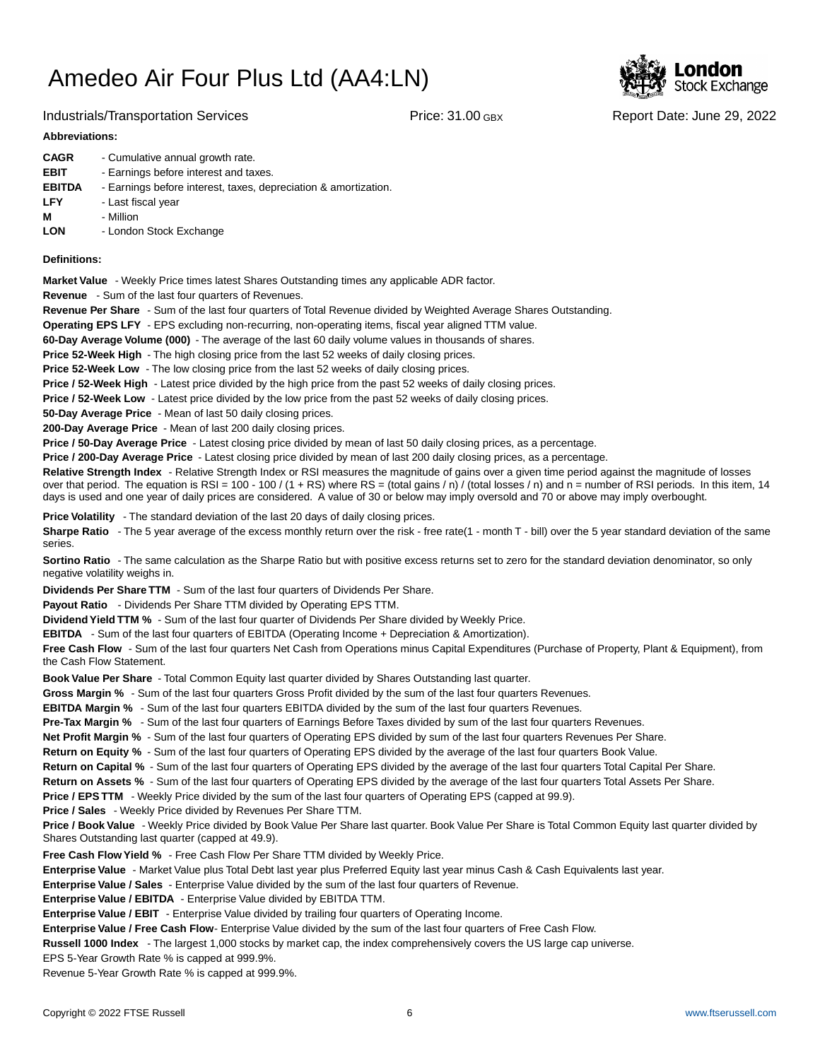

### Industrials/Transportation Services Price: 31.00 GBX Report Date: June 29, 2022

### **Abbreviations:**

| <b>CAGR</b>   | - Cumulative annual growth rate.                                |
|---------------|-----------------------------------------------------------------|
| <b>EBIT</b>   | - Earnings before interest and taxes.                           |
| <b>EBITDA</b> | - Earnings before interest, taxes, depreciation & amortization. |
| <b>LFY</b>    | - Last fiscal year                                              |
| М             | - Million                                                       |
| <b>LON</b>    | - London Stock Exchange                                         |
|               |                                                                 |

### **Definitions:**

**Market Value** - Weekly Price times latest Shares Outstanding times any applicable ADR factor.

**Revenue** - Sum of the last four quarters of Revenues.

**Revenue Per Share** - Sum of the last four quarters of Total Revenue divided by Weighted Average Shares Outstanding.

**Operating EPS LFY** - EPS excluding non-recurring, non-operating items, fiscal year aligned TTM value.

60-Day Average Volume (000) - The average of the last 60 daily volume values in thousands of shares.

**Price 52-Week High** - The high closing price from the last 52 weeks of daily closing prices.

**Price 52-Week Low** - The low closing price from the last 52 weeks of daily closing prices.

**Price / 52-Week High** - Latest price divided by the high price from the past 52 weeks of daily closing prices.

**Price / 52-Week Low** - Latest price divided by the low price from the past 52 weeks of daily closing prices.

**50-Day Average Price** - Mean of last 50 daily closing prices.

**200-Day Average Price** - Mean of last 200 daily closing prices.

Price / 50-Day Average Price - Latest closing price divided by mean of last 50 daily closing prices, as a percentage.

**Price / 200-Day Average Price** - Latest closing price divided by mean of last 200 daily closing prices, as a percentage.

Relative Strength Index - Relative Strength Index or RSI measures the magnitude of gains over a given time period against the magnitude of losses over that period. The equation is RSI = 100 - 100 / (1 + RS) where RS = (total gains / n) / (total losses / n) and n = number of RSI periods. In this item, 14 days is used and one year of daily prices are considered. A value of 30 or below may imply oversold and 70 or above may imply overbought.

**Price Volatility** - The standard deviation of the last 20 days of daily closing prices.

Sharpe Ratio - The 5 year average of the excess monthly return over the risk - free rate(1 - month T - bill) over the 5 year standard deviation of the same series.

**Sortino Ratio** - The same calculation as the Sharpe Ratio but with positive excess returns set to zero for the standard deviation denominator, so only negative volatility weighs in.

**Dividends Per Share TTM** - Sum of the last four quarters of Dividends Per Share.

Payout Ratio - Dividends Per Share TTM divided by Operating EPS TTM.

**Dividend Yield TTM %** - Sum of the last four quarter of Dividends Per Share divided by Weekly Price.

**EBITDA** - Sum of the last four quarters of EBITDA (Operating Income + Depreciation & Amortization).

**Free Cash Flow** - Sum of the last four quarters Net Cash from Operations minus Capital Expenditures (Purchase of Property, Plant & Equipment), from the Cash Flow Statement.

**Book Value Per Share** - Total Common Equity last quarter divided by Shares Outstanding last quarter.

**Gross Margin %** - Sum of the last four quarters Gross Profit divided by the sum of the last four quarters Revenues.

**EBITDA Margin %** - Sum of the last four quarters EBITDA divided by the sum of the last four quarters Revenues.

**Pre-Tax Margin %** - Sum of the last four quarters of Earnings Before Taxes divided by sum of the last four quarters Revenues.

**Net Profit Margin %** - Sum of the last four quarters of Operating EPS divided by sum of the last four quarters Revenues Per Share.

**Return on Equity %** - Sum of the last four quarters of Operating EPS divided by the average of the last four quarters Book Value.

**Return on Capital %** - Sum of the last four quarters of Operating EPS divided by the average of the last four quarters Total Capital Per Share.

**Return on Assets %** - Sum of the last four quarters of Operating EPS divided by the average of the last four quarters Total Assets Per Share.

**Price / EPS TTM** - Weekly Price divided by the sum of the last four quarters of Operating EPS (capped at 99.9).

**Price / Sales** - Weekly Price divided by Revenues Per Share TTM.

**Price / Book Value** - Weekly Price divided by Book Value Per Share last quarter. Book Value Per Share is Total Common Equity last quarter divided by Shares Outstanding last quarter (capped at 49.9).

**Free Cash Flow Yield %** - Free Cash Flow Per Share TTM divided by Weekly Price.

Enterprise Value - Market Value plus Total Debt last year plus Preferred Equity last year minus Cash & Cash Equivalents last year.

**Enterprise Value / Sales** - Enterprise Value divided by the sum of the last four quarters of Revenue.

**Enterprise Value / EBITDA** - Enterprise Value divided by EBITDA TTM.

**Enterprise Value / EBIT** - Enterprise Value divided by trailing four quarters of Operating Income.

Enterprise Value / Free Cash Flow- Enterprise Value divided by the sum of the last four quarters of Free Cash Flow.

**Russell 1000 Index** - The largest 1,000 stocks by market cap, the index comprehensively covers the US large cap universe.

EPS 5-Year Growth Rate % is capped at 999.9%.

Revenue 5-Year Growth Rate % is capped at 999.9%.